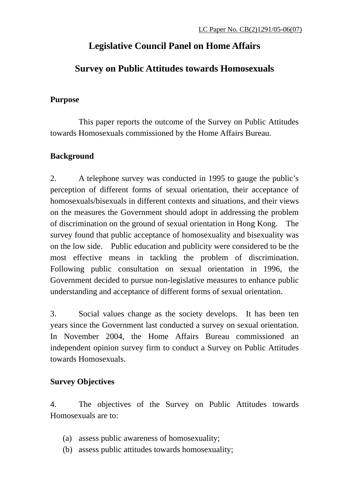# **Legislative Council Panel on Home Affairs**

# **Survey on Public Attitudes towards Homosexuals**

## **Purpose**

 This paper reports the outcome of the Survey on Public Attitudes towards Homosexuals commissioned by the Home Affairs Bureau.

# **Background**

2. A telephone survey was conducted in 1995 to gauge the public's perception of different forms of sexual orientation, their acceptance of homosexuals/bisexuals in different contexts and situations, and their views on the measures the Government should adopt in addressing the problem of discrimination on the ground of sexual orientation in Hong Kong. The survey found that public acceptance of homosexuality and bisexuality was on the low side. Public education and publicity were considered to be the most effective means in tackling the problem of discrimination. Following public consultation on sexual orientation in 1996, the Government decided to pursue non-legislative measures to enhance public understanding and acceptance of different forms of sexual orientation.

3. Social values change as the society develops. It has been ten years since the Government last conducted a survey on sexual orientation. In November 2004, the Home Affairs Bureau commissioned an independent opinion survey firm to conduct a Survey on Public Attitudes towards Homosexuals.

# **Survey Objectives**

4. The objectives of the Survey on Public Attitudes towards Homosexuals are to:

- (a) assess public awareness of homosexuality;
- (b) assess public attitudes towards homosexuality;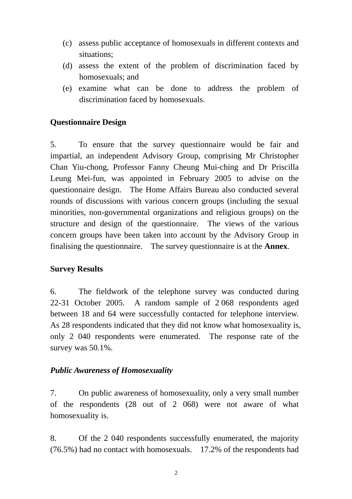- (c) assess public acceptance of homosexuals in different contexts and situations;
- (d) assess the extent of the problem of discrimination faced by homosexuals; and
- (e) examine what can be done to address the problem of discrimination faced by homosexuals.

## **Questionnaire Design**

5. To ensure that the survey questionnaire would be fair and impartial, an independent Advisory Group, comprising Mr Christopher Chan Yiu-chong, Professor Fanny Cheung Mui-ching and Dr Priscilla Leung Mei-fun, was appointed in February 2005 to advise on the questionnaire design. The Home Affairs Bureau also conducted several rounds of discussions with various concern groups (including the sexual minorities, non-governmental organizations and religious groups) on the structure and design of the questionnaire. The views of the various concern groups have been taken into account by the Advisory Group in finalising the questionnaire. The survey questionnaire is at the **Annex**.

### **Survey Results**

6. The fieldwork of the telephone survey was conducted during 22-31 October 2005. A random sample of 2 068 respondents aged between 18 and 64 were successfully contacted for telephone interview. As 28 respondents indicated that they did not know what homosexuality is, only 2 040 respondents were enumerated. The response rate of the survey was 50.1%.

### *Public Awareness of Homosexuality*

7. On public awareness of homosexuality, only a very small number of the respondents (28 out of 2 068) were not aware of what homosexuality is.

8. Of the 2 040 respondents successfully enumerated, the majority (76.5%) had no contact with homosexuals. 17.2% of the respondents had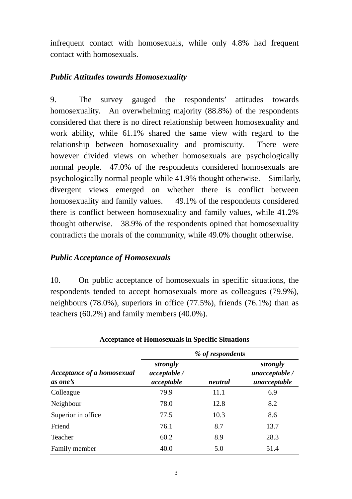infrequent contact with homosexuals, while only 4.8% had frequent contact with homosexuals.

## *Public Attitudes towards Homosexuality*

9. The survey gauged the respondents' attitudes towards homosexuality. An overwhelming majority (88.8%) of the respondents considered that there is no direct relationship between homosexuality and work ability, while 61.1% shared the same view with regard to the relationship between homosexuality and promiscuity. There were however divided views on whether homosexuals are psychologically normal people. 47.0% of the respondents considered homosexuals are psychologically normal people while 41.9% thought otherwise. Similarly, divergent views emerged on whether there is conflict between homosexuality and family values. 49.1% of the respondents considered there is conflict between homosexuality and family values, while 41.2% thought otherwise. 38.9% of the respondents opined that homosexuality contradicts the morals of the community, while 49.0% thought otherwise.

## *Public Acceptance of Homosexuals*

10. On public acceptance of homosexuals in specific situations, the respondents tended to accept homosexuals more as colleagues (79.9%), neighbours (78.0%), superiors in office (77.5%), friends (76.1%) than as teachers (60.2%) and family members (40.0%).

|                                        | % of respondents                       |         |                                            |  |  |  |  |  |
|----------------------------------------|----------------------------------------|---------|--------------------------------------------|--|--|--|--|--|
| Acceptance of a homosexual<br>as one's | strongly<br>acceptable /<br>acceptable | neutral | strongly<br>unacceptable /<br>unacceptable |  |  |  |  |  |
| Colleague                              | 79.9                                   | 11.1    | 6.9                                        |  |  |  |  |  |
| Neighbour                              | 78.0                                   | 12.8    | 8.2                                        |  |  |  |  |  |
| Superior in office                     | 77.5                                   | 10.3    | 8.6                                        |  |  |  |  |  |
| Friend                                 | 76.1                                   | 8.7     | 13.7                                       |  |  |  |  |  |
| Teacher                                | 60.2                                   | 8.9     | 28.3                                       |  |  |  |  |  |
| Family member                          | 40.0                                   | 5.0     | 51.4                                       |  |  |  |  |  |

**Acceptance of Homosexuals in Specific Situations**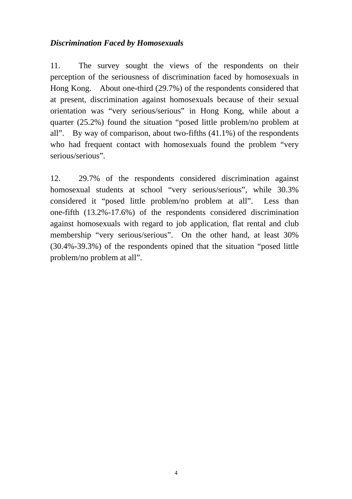## *Discrimination Faced by Homosexuals*

11. The survey sought the views of the respondents on their perception of the seriousness of discrimination faced by homosexuals in Hong Kong. About one-third (29.7%) of the respondents considered that at present, discrimination against homosexuals because of their sexual orientation was "very serious/serious" in Hong Kong, while about a quarter (25.2%) found the situation "posed little problem/no problem at all". By way of comparison, about two-fifths  $(41.1\%)$  of the respondents who had frequent contact with homosexuals found the problem "very serious/serious".

12. 29.7% of the respondents considered discrimination against homosexual students at school "very serious/serious", while 30.3% considered it "posed little problem/no problem at all". Less than one-fifth (13.2%-17.6%) of the respondents considered discrimination against homosexuals with regard to job application, flat rental and club membership "very serious/serious". On the other hand, at least 30% (30.4%-39.3%) of the respondents opined that the situation "posed little problem/no problem at all".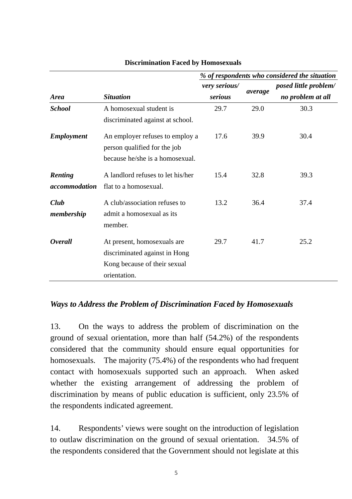|                   |                                   |               |         | % of respondents who considered the situation |
|-------------------|-----------------------------------|---------------|---------|-----------------------------------------------|
|                   |                                   | very serious/ |         | <i>posed little problem/</i>                  |
| <b>Area</b>       | <b>Situation</b>                  | serious       | average | no problem at all                             |
| <b>School</b>     | A homosexual student is           | 29.7          | 29.0    | 30.3                                          |
|                   | discriminated against at school.  |               |         |                                               |
| <b>Employment</b> | An employer refuses to employ a   | 17.6          | 39.9    | 30.4                                          |
|                   | person qualified for the job      |               |         |                                               |
|                   | because he/she is a homosexual.   |               |         |                                               |
| Renting           | A landlord refuses to let his/her | 15.4          | 32.8    | 39.3                                          |
| accommodation     | flat to a homosexual.             |               |         |                                               |
| Club              | A club/association refuses to     | 13.2          | 36.4    | 37.4                                          |
| membership        | admit a homosexual as its         |               |         |                                               |
|                   | member.                           |               |         |                                               |
| <b>Overall</b>    | At present, homosexuals are       | 29.7          | 41.7    | 25.2                                          |
|                   | discriminated against in Hong     |               |         |                                               |
|                   | Kong because of their sexual      |               |         |                                               |
|                   | orientation.                      |               |         |                                               |

#### **Discrimination Faced by Homosexuals**

### *Ways to Address the Problem of Discrimination Faced by Homosexuals*

13. On the ways to address the problem of discrimination on the ground of sexual orientation, more than half (54.2%) of the respondents considered that the community should ensure equal opportunities for homosexuals. The majority (75.4%) of the respondents who had frequent contact with homosexuals supported such an approach. When asked whether the existing arrangement of addressing the problem of discrimination by means of public education is sufficient, only 23.5% of the respondents indicated agreement.

14. Respondents' views were sought on the introduction of legislation to outlaw discrimination on the ground of sexual orientation. 34.5% of the respondents considered that the Government should not legislate at this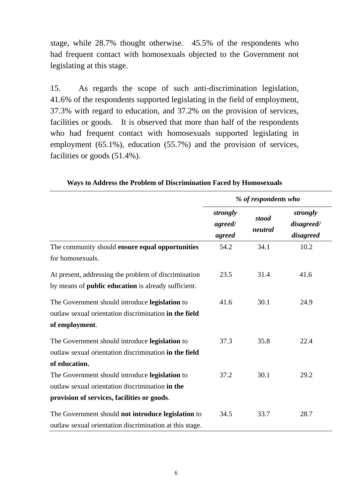stage, while 28.7% thought otherwise. 45.5% of the respondents who had frequent contact with homosexuals objected to the Government not legislating at this stage.

15. As regards the scope of such anti-discrimination legislation, 41.6% of the respondents supported legislating in the field of employment, 37.3% with regard to education, and 37.2% on the provision of services, facilities or goods. It is observed that more than half of the respondents who had frequent contact with homosexuals supported legislating in employment (65.1%), education (55.7%) and the provision of services, facilities or goods (51.4%).

|                                                            | % of respondents who          |                  |                                     |  |  |
|------------------------------------------------------------|-------------------------------|------------------|-------------------------------------|--|--|
|                                                            | strongly<br>agreed/<br>agreed | stood<br>neutral | strongly<br>disagreed/<br>disagreed |  |  |
| The community should ensure equal opportunities            | 54.2                          | 34.1             | 10.2                                |  |  |
| for homosexuals.                                           |                               |                  |                                     |  |  |
| At present, addressing the problem of discrimination       | 23.5                          | 31.4             | 41.6                                |  |  |
| by means of <b>public education</b> is already sufficient. |                               |                  |                                     |  |  |
| The Government should introduce legislation to             | 41.6                          | 30.1             | 24.9                                |  |  |
| outlaw sexual orientation discrimination in the field      |                               |                  |                                     |  |  |
| of employment.                                             |                               |                  |                                     |  |  |
| The Government should introduce legislation to             | 37.3                          | 35.8             | 22.4                                |  |  |
| outlaw sexual orientation discrimination in the field      |                               |                  |                                     |  |  |
| of education.                                              |                               |                  |                                     |  |  |
| The Government should introduce legislation to             | 37.2                          | 30.1             | 29.2                                |  |  |
| outlaw sexual orientation discrimination in the            |                               |                  |                                     |  |  |
| provision of services, facilities or goods.                |                               |                  |                                     |  |  |
| The Government should not introduce legislation to         | 34.5                          | 33.7             | 28.7                                |  |  |
| outlaw sexual orientation discrimination at this stage.    |                               |                  |                                     |  |  |

**Ways to Address the Problem of Discrimination Faced by Homosexuals**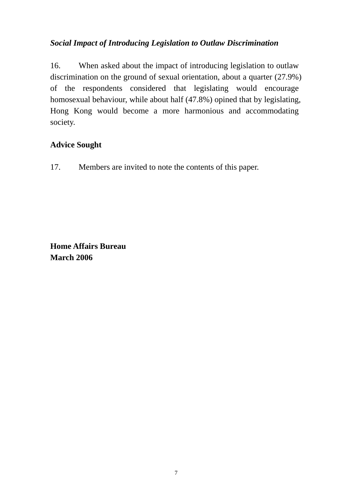# *Social Impact of Introducing Legislation to Outlaw Discrimination*

16. When asked about the impact of introducing legislation to outlaw discrimination on the ground of sexual orientation, about a quarter (27.9%) of the respondents considered that legislating would encourage homosexual behaviour, while about half (47.8%) opined that by legislating, Hong Kong would become a more harmonious and accommodating society.

# **Advice Sought**

17. Members are invited to note the contents of this paper.

**Home Affairs Bureau March 2006**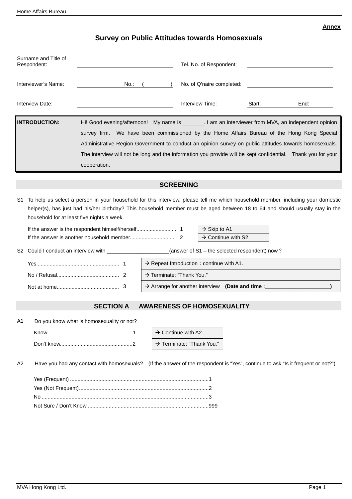#### **Annex**

## **Survey on Public Attitudes towards Homosexuals**

| Surname and Title of<br>Respondent:<br>Interviewer's Name:<br>No.: |                                            |                                                                                                          | Tel. No. of Respondent:<br>No. of Q'naire completed: |                                                                                                                                                   |                                |                                                                                                                                                                                                                                                                                                                                                                                                                                 |  |
|--------------------------------------------------------------------|--------------------------------------------|----------------------------------------------------------------------------------------------------------|------------------------------------------------------|---------------------------------------------------------------------------------------------------------------------------------------------------|--------------------------------|---------------------------------------------------------------------------------------------------------------------------------------------------------------------------------------------------------------------------------------------------------------------------------------------------------------------------------------------------------------------------------------------------------------------------------|--|
|                                                                    | Interview Date:                            |                                                                                                          |                                                      | Interview Time:                                                                                                                                   | Start:                         | End:                                                                                                                                                                                                                                                                                                                                                                                                                            |  |
|                                                                    | <b>INTRODUCTION:</b>                       | cooperation.                                                                                             |                                                      |                                                                                                                                                   |                                | Hi! Good evening/afternoon! My name is _________. I am an interviewer from MVA, an independent opinion<br>survey firm. We have been commissioned by the Home Affairs Bureau of the Hong Kong Special<br>Administrative Region Government to conduct an opinion survey on public attitudes towards homosexuals.<br>The interview will not be long and the information you provide will be kept confidential.  Thank you for your |  |
|                                                                    |                                            |                                                                                                          |                                                      | <b>SCREENING</b>                                                                                                                                  |                                |                                                                                                                                                                                                                                                                                                                                                                                                                                 |  |
| S1                                                                 | household for at least five nights a week. | S2 Could I conduct an interview with ______________________(answer of S1 - the selected respondent) now? | $\rightarrow$ Terminate: "Thank You."                | $\rightarrow$ Skip to A1<br>$\rightarrow$ Repeat Introduction ; continue with A1.<br>$\rightarrow$ Arrange for another interview (Date and time : | $\rightarrow$ Continue with S2 | To help us select a person in your household for this interview, please tell me which household member, including your domestic<br>helper(s), has just had his/her birthday? This household member must be aged between 18 to 64 and should usually stay in the                                                                                                                                                                 |  |
|                                                                    |                                            | <b>SECTION A</b>                                                                                         |                                                      | AWARENESS OF HOMOSEXUALITY                                                                                                                        |                                |                                                                                                                                                                                                                                                                                                                                                                                                                                 |  |
| A <sub>1</sub><br>A2                                               |                                            | Do you know what is homosexuality or not?                                                                |                                                      | $\rightarrow$ Continue with A2.<br>> Terminate: "Thank You."                                                                                      |                                | Have you had any contact with homosexuals? (If the answer of the respondent is "Yes", continue to ask "Is it frequent or not?")                                                                                                                                                                                                                                                                                                 |  |
|                                                                    |                                            |                                                                                                          |                                                      |                                                                                                                                                   |                                |                                                                                                                                                                                                                                                                                                                                                                                                                                 |  |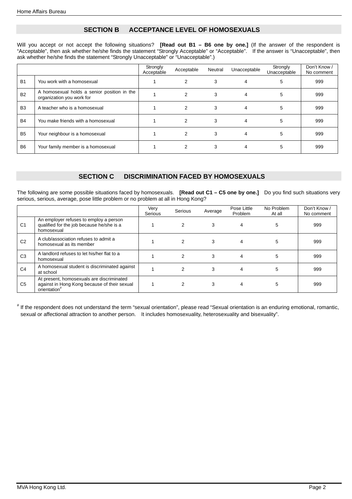#### **SECTION B ACCEPTANCE LEVEL OF HOMOSEXUALS**

Will you accept or not accept the following situations? **[Read out B1 – B6 one by one.]** (If the answer of the respondent is "Acceptable", then ask whether he/she finds the statement "Strongly Acceptable" or "Acceptable". If the answer is "Unacceptable", then ask whether he/she finds the statement "Strongly Unacceptable" or "Unacceptable".)

|                |                                                                          | Strongly<br>Acceptable | Acceptable | Neutral | Unacceptable | Strongly<br>Unacceptable | Don't Know /<br>No comment |
|----------------|--------------------------------------------------------------------------|------------------------|------------|---------|--------------|--------------------------|----------------------------|
| <b>B1</b>      | You work with a homosexual                                               |                        | 2          | 3       | 4            | 5                        | 999                        |
| <b>B2</b>      | A homosexual holds a senior position in the<br>organization you work for |                        | 2          | 3       |              | 5                        | 999                        |
| B <sub>3</sub> | A teacher who is a homosexual                                            |                        | 2          | 3       |              | 5                        | 999                        |
| <b>B4</b>      | You make friends with a homosexual                                       |                        | 2          | 3       | 4            | 5                        | 999                        |
| <b>B5</b>      | Your neighbour is a homosexual                                           |                        | 2          | 3       | 4            | 5                        | 999                        |
| B <sub>6</sub> | Your family member is a homosexual                                       |                        | 2          | 3       |              | 5                        | 999                        |

#### **SECTION C DISCRIMINATION FACED BY HOMOSEXUALS**

The following are some possible situations faced by homosexuals. **[Read out C1 – C5 one by one.]** Do you find such situations very serious, serious, average, pose little problem or no problem at all in Hong Kong?

|                |                                                                                                                       | Very<br>Serious | Serious        | Average | Pose Little<br>Problem | No Problem<br>At all | Don't Know<br>No comment |
|----------------|-----------------------------------------------------------------------------------------------------------------------|-----------------|----------------|---------|------------------------|----------------------|--------------------------|
| C <sub>1</sub> | An employer refuses to employ a person<br>qualified for the job because he/she is a<br>homosexual                     |                 | $\mathcal{P}$  | 3       | 4                      | 5                    | 999                      |
| C <sub>2</sub> | A club/association refuses to admit a<br>homosexual as its member                                                     |                 | $\overline{2}$ | 3       | 4                      | 5                    | 999                      |
| C <sub>3</sub> | A landlord refuses to let his/her flat to a<br>homosexual                                                             |                 | $\mathcal{P}$  | 3       | 4                      | 5                    | 999                      |
| C <sub>4</sub> | A homosexual student is discriminated against<br>at school                                                            |                 | $\mathcal{P}$  | 3       | 4                      | 5                    | 999                      |
| C <sub>5</sub> | At present, homosexuals are discriminated<br>against in Hong Kong because of their sexual<br>orientation <sup>#</sup> |                 |                | 3       | 4                      | 5                    | 999                      |

# If the respondent does not understand the term "sexual orientation", please read "Sexual orientation is an enduring emotional, romantic, sexual or affectional attraction to another person. It includes homosexuality, heterosexuality and bisexuality".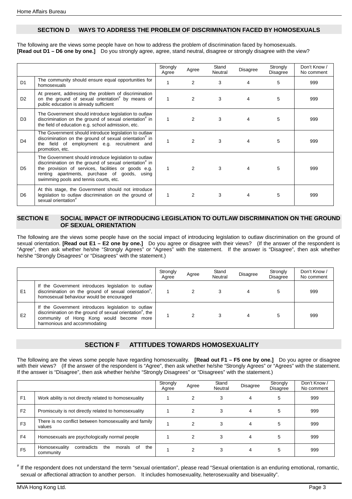#### **SECTION D WAYS TO ADDRESS THE PROBLEM OF DISCRIMINATION FACED BY HOMOSEXUALS**

The following are the views some people have on how to address the problem of discrimination faced by homosexuals. **[Read out D1 – D6 one by one.]** Do you strongly agree, agree, stand neutral, disagree or strongly disagree with the view?

|                |                                                                                                                                                                                                                                                                  | Strongly<br>Agree | Agree | Stand<br>Neutral | <b>Disagree</b> | Strongly<br>Disagree | Don't Know /<br>No comment |
|----------------|------------------------------------------------------------------------------------------------------------------------------------------------------------------------------------------------------------------------------------------------------------------|-------------------|-------|------------------|-----------------|----------------------|----------------------------|
| D <sub>1</sub> | The community should ensure equal opportunities for<br>homosexuals                                                                                                                                                                                               |                   | 2     | 3                | 4               | 5                    | 999                        |
| D <sub>2</sub> | At present, addressing the problem of discrimination<br>on the ground of sexual orientation <sup>#</sup> by means of<br>public education is already sufficient                                                                                                   | 1                 | 2     | 3                | 4               | 5                    | 999                        |
| D <sub>3</sub> | The Government should introduce legislation to outlaw<br>discrimination on the ground of sexual orientation" in<br>the field of education e.g. school admission, etc.                                                                                            | 1                 | 2     | 3                | 4               | 5                    | 999                        |
| D <sub>4</sub> | The Government should introduce legislation to outlaw<br>discrimination on the ground of sexual orientation <sup>#</sup> in<br>the field of employment e.g. recruitment and<br>promotion, etc.                                                                   |                   | 2     | 3                | 4               | 5                    | 999                        |
| D <sub>5</sub> | The Government should introduce legislation to outlaw<br>discrimination on the ground of sexual orientation" in<br>the provision of services, facilities or goods e.g.<br>renting apartments, purchase of goods, using<br>swimming pools and tennis courts, etc. |                   | 2     | 3                | 4               | 5                    | 999                        |
| D <sub>6</sub> | At this stage, the Government should not introduce<br>legislation to outlaw discrimination on the ground of<br>sexual orientation"                                                                                                                               |                   | 2     | 3                | 4               | 5                    | 999                        |

#### **SECTION E SOCIAL IMPACT OF INTRODUCING LEGISLATION TO OUTLAW DISCRIMINATION ON THE GROUND OF SEXUAL ORIENTATION**

The following are the views some people have on the social impact of introducing legislation to outlaw discrimination on the ground of sexual orientation. **[Read out E1 – E2 one by one.]** Do you agree or disagree with their views? (If the answer of the respondent is "Agree", then ask whether he/she "Strongly Agrees" or "Agrees" with the statement. If the answer is "Disagree", then ask whether he/she "Strongly Disagrees" or "Disagrees" with the statement.)

|    |                                                                                                                                                                                                         | Strongly<br>Aaree | Agree | Stand<br>Neutral | Disagree | Strongly<br><b>Disagree</b> | Don't Know /<br>No comment |
|----|---------------------------------------------------------------------------------------------------------------------------------------------------------------------------------------------------------|-------------------|-------|------------------|----------|-----------------------------|----------------------------|
| E1 | If the Government introduces legislation to outlaw<br>discrimination on the ground of sexual orientation <sup>#</sup> ,<br>homosexual behaviour would be encouraged                                     |                   |       |                  |          |                             | 999                        |
| E2 | If the Government introduces legislation to outlaw<br>discrimination on the ground of sexual orientation <sup>#</sup> , the<br>community of Hong Kong would become more<br>harmonious and accommodating |                   |       |                  |          |                             | 999                        |

#### **SECTION F ATTITUDES TOWARDS HOMOSEXUALITY**

The following are the views some people have regarding homosexuality. **[Read out F1 – F5 one by one.]** Do you agree or disagree with their views? (If the answer of the respondent is "Agree", then ask whether he/she "Strongly Agrees" or "Agrees" with the statement. If the answer is "Disagree", then ask whether he/she "Strongly Disagrees" or "Disagrees" with the statement.)

|                |                                                                         | Strongly<br>Agree | Agree          | Stand<br>Neutral | <b>Disagree</b> | Strongly<br>Disagree | Don't Know /<br>No comment |
|----------------|-------------------------------------------------------------------------|-------------------|----------------|------------------|-----------------|----------------------|----------------------------|
| F <sub>1</sub> | Work ability is not directly related to homosexuality                   |                   | 2              | 3                | 4               | 5                    | 999                        |
| F <sub>2</sub> | Promiscuity is not directly related to homosexuality                    |                   | 2              | 3                | 4               | 5                    | 999                        |
| F <sub>3</sub> | There is no conflict between homosexuality and family<br>values         |                   | $\overline{2}$ | 3                | 4               | 5                    | 999                        |
| F <sub>4</sub> | Homosexuals are psychologically normal people                           |                   | 2              | 3                | 4               | 5                    | 999                        |
| F <sub>5</sub> | contradicts<br>the<br>Homosexuality<br>the<br>of<br>morals<br>community |                   | 2              |                  | 4               | 5                    | 999                        |

# If the respondent does not understand the term "sexual orientation", please read "Sexual orientation is an enduring emotional, romantic, sexual or affectional attraction to another person. It includes homosexuality, heterosexuality and bisexuality".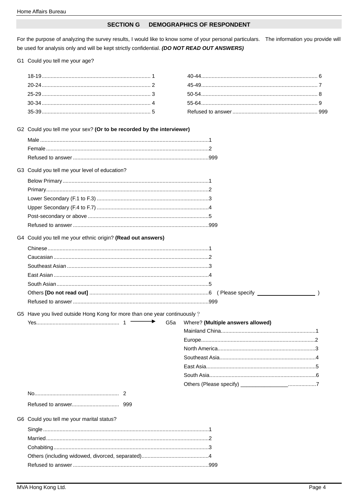#### **SECTION G DEMOGRAPHICS OF RESPONDENT**

For the purpose of analyzing the survey results, I would like to know some of your personal particulars. The information you provide will be used for analysis only and will be kept strictly confidential. (DO NOT READ OUT ANSWERS)

G1 Could you tell me your age?

| G2 Could you tell me your sex? (Or to be recorded by the interviewer)    |                 |                                   |  |
|--------------------------------------------------------------------------|-----------------|-----------------------------------|--|
| G3 Could you tell me your level of education?                            |                 |                                   |  |
|                                                                          |                 |                                   |  |
|                                                                          |                 |                                   |  |
|                                                                          |                 |                                   |  |
|                                                                          |                 |                                   |  |
|                                                                          |                 |                                   |  |
|                                                                          |                 |                                   |  |
| G4 Could you tell me your ethnic origin? (Read out answers)              |                 |                                   |  |
|                                                                          |                 |                                   |  |
|                                                                          |                 |                                   |  |
|                                                                          |                 |                                   |  |
|                                                                          |                 |                                   |  |
|                                                                          |                 |                                   |  |
|                                                                          |                 |                                   |  |
|                                                                          |                 |                                   |  |
| G5 Have you lived outside Hong Kong for more than one year continuously? |                 |                                   |  |
| $\longrightarrow$                                                        | G <sub>5a</sub> | Where? (Multiple answers allowed) |  |
|                                                                          |                 |                                   |  |
|                                                                          |                 |                                   |  |
|                                                                          |                 |                                   |  |
|                                                                          |                 |                                   |  |
|                                                                          |                 |                                   |  |
|                                                                          |                 |                                   |  |
|                                                                          |                 |                                   |  |
|                                                                          |                 |                                   |  |
| G6 Could you tell me your marital status?                                |                 |                                   |  |
|                                                                          |                 |                                   |  |
|                                                                          |                 |                                   |  |
|                                                                          |                 |                                   |  |
|                                                                          |                 |                                   |  |
|                                                                          |                 |                                   |  |